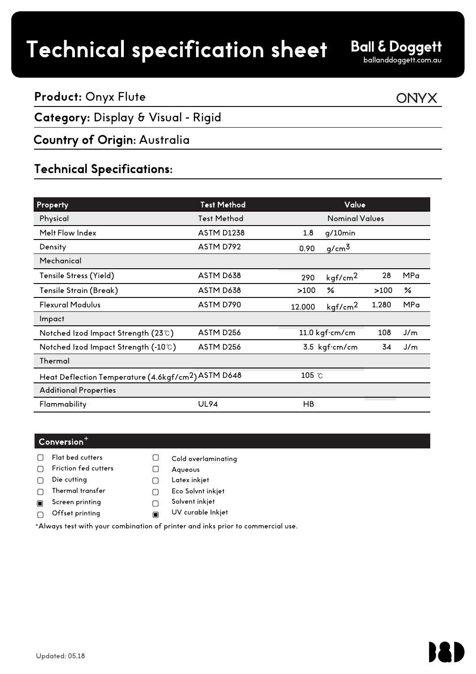## Technical specification sheet

**Ball & Doggett** 

ballanddoggett.com.au

**ONYX** 

#### **Product:** Onyx Flute

#### **Category:** Display & Visual - Rigid

#### Country of Origin: Australia

### Technical Specifications:

| <b>Property</b>                                                 | <b>Test Method</b>    |        | Value                 |       |     |
|-----------------------------------------------------------------|-----------------------|--------|-----------------------|-------|-----|
| Physical                                                        | <b>Test Method</b>    |        | <b>Nominal Values</b> |       |     |
| Melt Flow Index                                                 | <b>ASTM D1238</b>     | 1.8    | $g/10$ min            |       |     |
| Density                                                         | ASTM D792             | 0.90   | $g/cm^3$              |       |     |
| Mechanical                                                      |                       |        |                       |       |     |
| Tensile Stress (Yield)                                          | ASTM D638             | 290    | kgf/cm <sup>2</sup>   | 28    | MPa |
| Tensile Strain (Break)                                          | ASTM D638             | >100   | ℅                     | >100  | ℅   |
| <b>Flexural Modulus</b>                                         | ASTM D790             | 12,000 | kgf/cm <sup>2</sup>   | 1.280 | MPa |
| Impact                                                          |                       |        |                       |       |     |
| Notched Izod Impact Strength (23℃)                              | ASTM D <sub>256</sub> |        | 11.0 kgf·cm/cm        |       | J/m |
| Notched Izod Impact Strength (-10℃)                             | ASTM D256             |        | 3.5 kgf.cm/cm         |       | J/m |
| Thermal                                                         |                       |        |                       |       |     |
| Heat Deflection Temperature (4.6kgf/cm <sup>2</sup> ) ASTM D648 |                       |        | 105 °C                |       |     |
| <b>Additional Properties</b>                                    |                       |        |                       |       |     |
| Flammability                                                    | <b>UL94</b>           | HB     |                       |       |     |

#### $\mathsf{Conversion}^+$

- Flat bed cutters  $\Box$
- $\Box$ Friction fed cutters
- Die cutting  $\Box$
- Thermal transfer  $\Box$
- Screen printing  $\blacksquare$
- Offset printing  $\Box$
- Solvent inkjet UV curable Inkjet  $\blacksquare$

Aqueous Latex inkjet Eco Solvnt inkjet

Cold overlaminating

<sup>+</sup>Always test with your combination of printer and inks prior to commercial use.

 $\hfill \square$ 

 $\Box$ 

 $\Box$ 

 $\Box$ 

 $\Box$